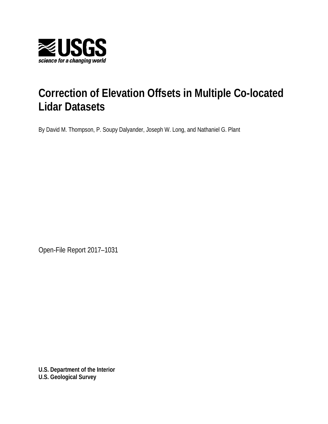

# **Correction of Elevation Offsets in Multiple Co-located Lidar Datasets**

By David M. Thompson, P. Soupy Dalyander, Joseph W. Long, and Nathaniel G. Plant

Open-File Report 2017–1031

**U.S. Department of the Interior U.S. Geological Survey**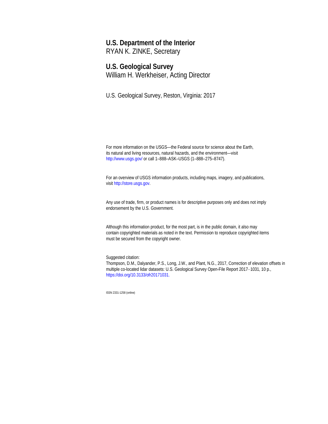# **U.S. Department of the Interior**

RYAN K. ZINKE, Secretary

### **U.S. Geological Survey**

William H. Werkheiser, Acting Director

U.S. Geological Survey, Reston, Virginia: 2017

For more information on the USGS—the Federal source for science about the Earth, its natural and living resources, natural hazards, and the environment—visit <http://www.usgs.gov/> or call 1–888–ASK–USGS (1–888–275–8747).

For an overview of USGS information products, including maps, imagery, and publications, visit [http://store.usgs.gov.](http://store.usgs.gov/)

Any use of trade, firm, or product names is for descriptive purposes only and does not imply endorsement by the U.S. Government.

Although this information product, for the most part, is in the public domain, it also may contain copyrighted materials as noted in the text. Permission to reproduce copyrighted items must be secured from the copyright owner.

Suggested citation:

Thompson, D.M., Dalyander, P.S., Long, J.W., and Plant, N.G., 2017, Correction of elevation offsets in multiple co-located lidar datasets: U.S. Geological Survey Open-File Report 2017–1031, 10 p., <https://doi.org/10.3133/ofr20171031.>

ISSN 2331-1258 (online)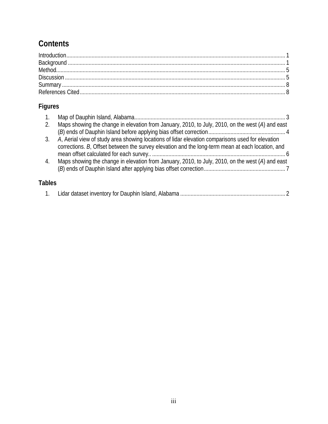## **Contents**

## **Figures**

| 2.            | Maps showing the change in elevation from January, 2010, to July, 2010, on the west (A) and east |
|---------------|--------------------------------------------------------------------------------------------------|
|               |                                                                                                  |
| 3.            | A, Aerial view of study area showing locations of lidar elevation comparisons used for elevation |
|               | corrections. B, Offset between the survey elevation and the long-term mean at each location, and |
|               |                                                                                                  |
| 4.            | Maps showing the change in elevation from January, 2010, to July, 2010, on the west (A) and east |
|               |                                                                                                  |
|               |                                                                                                  |
| <b>Tables</b> |                                                                                                  |
|               |                                                                                                  |

|--|--|--|--|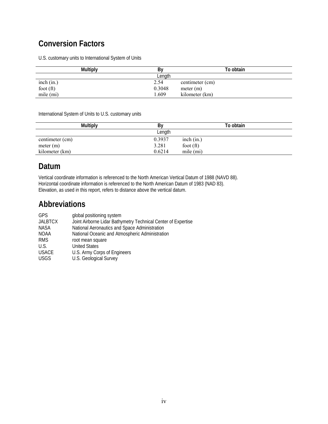### **Conversion Factors**

U.S. customary units to International System of Units

| <b>Multiply</b> | B٧     | To obtain       |
|-----------------|--------|-----------------|
|                 | Length |                 |
| inch (in.)      | 2.54   | centimeter (cm) |
| foot $(ft)$     | 0.3048 | meter $(m)$     |
| mile (mi)       | .609   | kilometer (km)  |

International System of Units to U.S. customary units

|                 | <b>Multiply</b> | By     |             | To obtain |  |
|-----------------|-----------------|--------|-------------|-----------|--|
|                 |                 | Length |             |           |  |
| centimeter (cm) |                 | 0.3937 | inch (in.)  |           |  |
| meter (m)       |                 | 3.281  | foot $(ft)$ |           |  |
| kilometer (km)  |                 | 0.6214 | mile $(mi)$ |           |  |

### **Datum**

Vertical coordinate information is referenced to the North American Vertical Datum of 1988 (NAVD 88). Horizontal coordinate information is referenced to the North American Datum of 1983 (NAD 83). Elevation, as used in this report, refers to distance above the vertical datum.

### **Abbreviations**

| GPS            | global positioning system                                     |
|----------------|---------------------------------------------------------------|
| <b>JALBTCX</b> | Joint Airborne Lidar Bathymetry Technical Center of Expertise |
| NASA           | National Aeronautics and Space Administration                 |
| NOAA           | National Oceanic and Atmospheric Administration               |
| <b>RMS</b>     | root mean square                                              |
| U.S.           | <b>United States</b>                                          |
| <b>USACE</b>   | U.S. Army Corps of Engineers                                  |
| <b>USGS</b>    | U.S. Geological Survey                                        |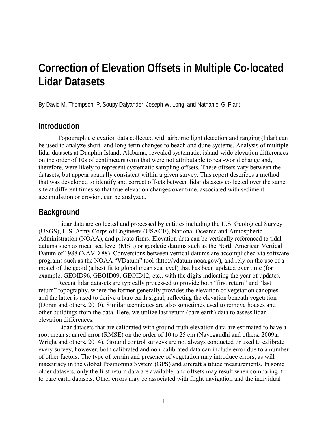# **Correction of Elevation Offsets in Multiple Co-located Lidar Datasets**

By David M. Thompson, P. Soupy Dalyander, Joseph W. Long, and Nathaniel G. Plant

#### **Introduction**

Topographic elevation data collected with airborne light detection and ranging (lidar) can be used to analyze short- and long-term changes to beach and dune systems. Analysis of multiple lidar datasets at Dauphin Island, Alabama, revealed systematic, island-wide elevation differences on the order of 10s of centimeters (cm) that were not attributable to real-world change and, therefore, were likely to represent systematic sampling offsets. These offsets vary between the datasets, but appear spatially consistent within a given survey. This report describes a method that was developed to identify and correct offsets between lidar datasets collected over the same site at different times so that true elevation changes over time, associated with sediment accumulation or erosion, can be analyzed.

### **Background**

Lidar data are collected and processed by entities including the U.S. Geological Survey (USGS), U.S. Army Corps of Engineers (USACE), National Oceanic and Atmospheric Administration (NOAA), and private firms. Elevation data can be vertically referenced to tidal datums such as mean sea level (MSL) or geodetic datums such as the North American Vertical Datum of 1988 (NAVD 88). Conversions between vertical datums are accomplished via software programs such as the NOAA "VDatum" tool (http://vdatum.noaa.gov/), and rely on the use of a model of the geoid (a best fit to global mean sea level) that has been updated over time (for example, GEOID96, GEOID09, GEOID12, etc., with the digits indicating the year of update).

Recent lidar datasets are typically processed to provide both "first return" and "last return" topography, where the former generally provides the elevation of vegetation canopies and the latter is used to derive a bare earth signal, reflecting the elevation beneath vegetation (Doran and others, 2010). Similar techniques are also sometimes used to remove houses and other buildings from the data. Here, we utilize last return (bare earth) data to assess lidar elevation differences.

Lidar datasets that are calibrated with ground-truth elevation data are estimated to have a root mean squared error (RMSE) on the order of 10 to 25 cm (Nayegandhi and others, 2009a; Wright and others, 2014). Ground control surveys are not always conducted or used to calibrate every survey, however, both calibrated and non-calibrated data can include error due to a number of other factors. The type of terrain and presence of vegetation may introduce errors, as will inaccuracy in the Global Positioning System (GPS) and aircraft altitude measurements. In some older datasets, only the first return data are available, and offsets may result when comparing it to bare earth datasets. Other errors may be associated with flight navigation and the individual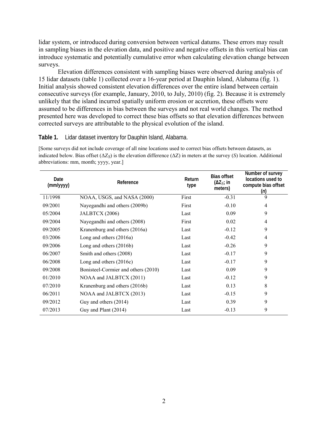lidar system, or introduced during conversion between vertical datums. These errors may result in sampling biases in the elevation data, and positive and negative offsets in this vertical bias can introduce systematic and potentially cumulative error when calculating elevation change between surveys.

Elevation differences consistent with sampling biases were observed during analysis of 15 lidar datasets (table 1) collected over a 16-year period at Dauphin Island, Alabama (fig. 1). Initial analysis showed consistent elevation differences over the entire island between certain consecutive surveys (for example, January, 2010, to July, 2010) (fig. 2). Because it is extremely unlikely that the island incurred spatially uniform erosion or accretion, these offsets were assumed to be differences in bias between the surveys and not real world changes. The method presented here was developed to correct these bias offsets so that elevation differences between corrected surveys are attributable to the physical evolution of the island.

#### **Table 1.** Lidar dataset inventory for Dauphin Island, Alabama.

[Some surveys did not include coverage of all nine locations used to correct bias offsets between datasets, as indicated below. Bias offset ( $ΔZ<sub>S</sub>$ ) is the elevation difference ( $ΔZ$ ) in meters at the survey (*S*) location. Additional abbreviations: mm, month; yyyy, year.]

| Date<br>(mm/yyyy) | Reference                           | Return<br>type | <b>Bias offset</b><br>$(\Delta Z_{S})$ in<br>meters) | Number of survey<br>locations used to<br>compute bias offset<br>(n) |
|-------------------|-------------------------------------|----------------|------------------------------------------------------|---------------------------------------------------------------------|
| 11/1998           | NOAA, USGS, and NASA (2000)         | First          | $-0.31$                                              | 9                                                                   |
| 09/2001           | Nayegandhi and others (2009b)       | First          | $-0.10$                                              | 4                                                                   |
| 05/2004           | JALBTCX (2006)                      | Last           | 0.09                                                 | 9                                                                   |
| 09/2004           | Nayegandhi and others (2008)        | First          | 0.02                                                 | 4                                                                   |
| 09/2005           | Kranenburg and others (2016a)       | Last           | $-0.12$                                              | 9                                                                   |
| 03/2006           | Long and others $(2016a)$           | Last           | $-0.42$                                              | 4                                                                   |
| 09/2006           | Long and others $(2016b)$           | Last           | $-0.26$                                              | 9                                                                   |
| 06/2007           | Smith and others (2008)             | Last           | $-0.17$                                              | 9                                                                   |
| 06/2008           | Long and others $(2016c)$           | Last           | $-0.17$                                              | 9                                                                   |
| 09/2008           | Bonisteel-Cormier and others (2010) | Last           | 0.09                                                 | 9                                                                   |
| 01/2010           | NOAA and JALBTCX (2011)             | Last           | $-0.12$                                              | 9                                                                   |
| 07/2010           | Kranenburg and others (2016b)       | Last           | 0.13                                                 | 8                                                                   |
| 06/2011           | NOAA and JALBTCX (2013)             | Last           | $-0.15$                                              | 9                                                                   |
| 09/2012           | Guy and others (2014)               | Last           | 0.39                                                 | 9                                                                   |
| 07/2013           | Guy and Plant (2014)                | Last           | $-0.13$                                              | 9                                                                   |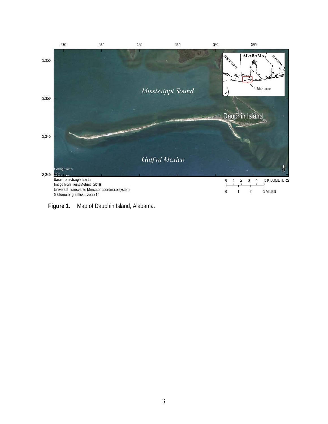

**Figure 1.** Map of Dauphin Island, Alabama.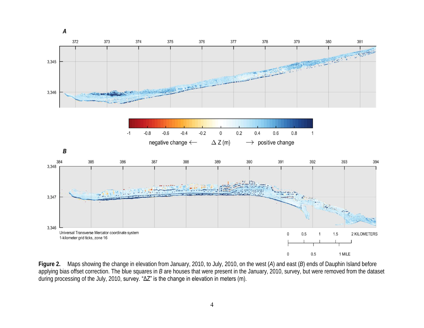

**Figure 2.** Maps showing the change in elevation from January, 2010, to July, 2010, on the west (*A*) and east (*B*) ends of Dauphin Island before applying bias offset correction. The blue squares in *B* are houses that were present in the January, 2010, survey, but were removed from the dataset during processing of the July, 2010, survey. "ΔZ" is the change in elevation in meters (m).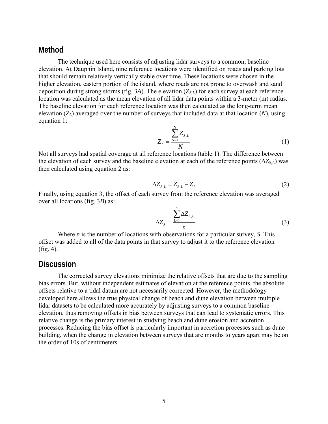#### **Method**

The technique used here consists of adjusting lidar surveys to a common, baseline elevation. At Dauphin Island, nine reference locations were identified on roads and parking lots that should remain relatively vertically stable over time. These locations were chosen in the higher elevation, eastern portion of the island, where roads are not prone to overwash and sand deposition during strong storms (fig. 3*A*). The elevation  $(Z_{SL})$  for each survey at each reference location was calculated as the mean elevation of all lidar data points within a 3-meter (m) radius. The baseline elevation for each reference location was then calculated as the long-term mean elevation  $(Z_L)$  averaged over the number of surveys that included data at that location  $(N)$ , using equation 1:

$$
Z_{L} = \frac{\sum_{s=1}^{N} Z_{s,L}}{N}
$$
 (1)

Not all surveys had spatial coverage at all reference locations (table 1). The difference between the elevation of each survey and the baseline elevation at each of the reference points  $(\Delta Z_{SL})$  was then calculated using equation 2 as:

$$
\Delta Z_{s,L} = Z_{s,L} - Z_L \tag{2}
$$

Finally, using equation 3, the offset of each survey from the reference elevation was averaged over all locations (fig. 3*B*) as:

$$
\Delta Z_{S} = \frac{\sum_{L=1}^{n} \Delta Z_{S,L}}{n}
$$
\n(3)

Where *n* is the number of locations with observations for a particular survey, *S*. This offset was added to all of the data points in that survey to adjust it to the reference elevation (fig. 4).

### **Discussion**

The corrected survey elevations minimize the relative offsets that are due to the sampling bias errors. But, without independent estimates of elevation at the reference points, the absolute offsets relative to a tidal datum are not necessarily corrected. However, the methodology developed here allows the true physical change of beach and dune elevation between multiple lidar datasets to be calculated more accurately by adjusting surveys to a common baseline elevation, thus removing offsets in bias between surveys that can lead to systematic errors. This relative change is the primary interest in studying beach and dune erosion and accretion processes. Reducing the bias offset is particularly important in accretion processes such as dune building, when the change in elevation between surveys that are months to years apart may be on the order of 10s of centimeters.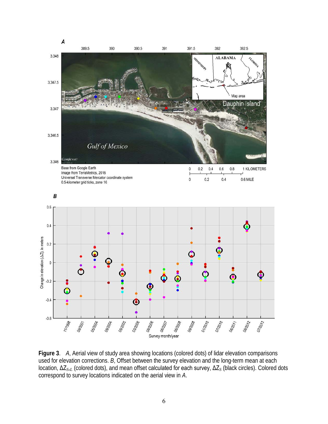

**Figure 3**. *A*, Aerial view of study area showing locations (colored dots) of lidar elevation comparisons used for elevation corrections. *B*, Offset between the survey elevation and the long-term mean at each location, ΔZ*S*,*<sup>L</sup>* (colored dots), and mean offset calculated for each survey, ΔZ*<sup>S</sup>* (black circles). Colored dots correspond to survey locations indicated on the aerial view in *A*.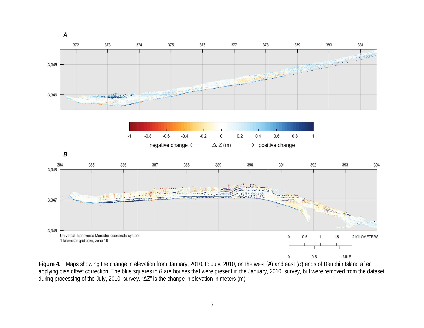

**Figure 4.** Maps showing the change in elevation from January, 2010, to July, 2010, on the west (*A*) and east (*B*) ends of Dauphin Island after applying bias offset correction. The blue squares in *B* are houses that were present in the January, 2010, survey, but were removed from the dataset during processing of the July, 2010, survey. "ΔZ" is the change in elevation in meters (m).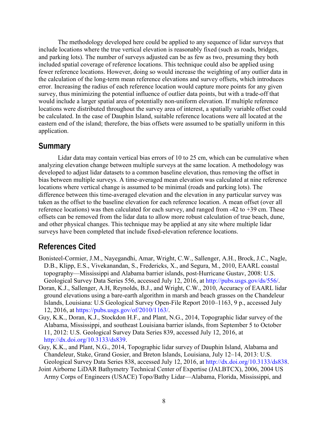The methodology developed here could be applied to any sequence of lidar surveys that include locations where the true vertical elevation is reasonably fixed (such as roads, bridges, and parking lots). The number of surveys adjusted can be as few as two, presuming they both included spatial coverage of reference locations. This technique could also be applied using fewer reference locations. However, doing so would increase the weighting of any outlier data in the calculation of the long-term mean reference elevations and survey offsets, which introduces error. Increasing the radius of each reference location would capture more points for any given survey, thus minimizing the potential influence of outlier data points, but with a trade-off that would include a larger spatial area of potentially non-uniform elevation. If multiple reference locations were distributed throughout the survey area of interest, a spatially variable offset could be calculated. In the case of Dauphin Island, suitable reference locations were all located at the eastern end of the island; therefore, the bias offsets were assumed to be spatially uniform in this application.

### **Summary**

Lidar data may contain vertical bias errors of 10 to 25 cm, which can be cumulative when analyzing elevation change between multiple surveys at the same location. A methodology was developed to adjust lidar datasets to a common baseline elevation, thus removing the offset in bias between multiple surveys. A time-averaged mean elevation was calculated at nine reference locations where vertical change is assumed to be minimal (roads and parking lots). The difference between this time-averaged elevation and the elevation in any particular survey was taken as the offset to the baseline elevation for each reference location. A mean offset (over all reference locations) was then calculated for each survey, and ranged from -42 to +39 cm. These offsets can be removed from the lidar data to allow more robust calculation of true beach, dune, and other physical changes. This technique may be applied at any site where multiple lidar surveys have been completed that include fixed-elevation reference locations.

### **References Cited**

- Bonisteel-Cormier, J.M., Nayegandhi, Amar, Wright, C.W., Sallenger, A.H., Brock, J.C., Nagle, D.B., Klipp, E.S., Vivekanandan, S., Fredericks, X., and Segura, M., 2010, EAARL coastal topography—Mississippi and Alabama barrier islands, post-Hurricane Gustav, 2008: U.S. Geological Survey Data Series 556, accessed July 12, 2016, at http://pubs.usgs.gov/ds/556/.
- Doran, K.J., Sallenger, A.H, Reynolds, B.J., and Wright, C.W., 2010, Accuracy of EAARL lidar ground elevations using a bare-earth algorithm in marsh and beach grasses on the Chandeleur Islands, Louisiana: U.S Geological Survey Open-File Report 2010–1163, 9 p., accessed July 12, 2016, at https://pubs.usgs.gov/of/2010/1163/.
- Guy, K.K., Doran, K.J., Stockdon H.F., and Plant, N.G., 2014, Topographic lidar survey of the Alabama, Mississippi, and southeast Louisiana barrier islands, from September 5 to October 11, 2012: U.S. Geological Survey Data Series 839, accessed July 12, 2016, at http://dx.doi.org/10.3133/ds839.
- Guy, K.K., and Plant, N.G., 2014, Topographic lidar survey of Dauphin Island, Alabama and Chandeleur, Stake, Grand Gosier, and Breton Islands, Louisiana, July 12–14, 2013: U.S. Geological Survey Data Series 838, accessed July 12, 2016, at http://dx.doi.org/10.3133/ds838.
- Joint Airborne LiDAR Bathymetry Technical Center of Expertise (JALBTCX), 2006, 2004 US Army Corps of Engineers (USACE) Topo/Bathy Lidar—Alabama, Florida, Mississippi, and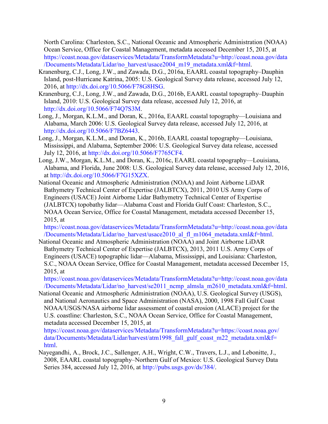North Carolina: Charleston, S.C., National Oceanic and Atmospheric Administration (NOAA) Ocean Service, Office for Coastal Management, metadata accessed December 15, 2015, at [https://coast.noaa.gov/dataservices/Metadata/TransformMetadata?u=http://coast.noaa.gov/data](https://coast.noaa.gov/dataservices/Metadata/TransformMetadata?u=http://coast.noaa.gov/data/Documents/Metadata/Lidar/no_harvest/usace2004_m19_metadata.xml&f=html) [/Documents/Metadata/Lidar/no\\_harvest/usace2004\\_m19\\_metadata.xml&f=html](https://coast.noaa.gov/dataservices/Metadata/TransformMetadata?u=http://coast.noaa.gov/data/Documents/Metadata/Lidar/no_harvest/usace2004_m19_metadata.xml&f=html).

- Kranenburg, C.J., Long, J.W., and Zawada, D.G., 2016a, EAARL coastal topography–Dauphin Island, post-Hurricane Katrina, 2005: U.S. Geological Survey data release, accessed July 12, 2016, at [http://dx.doi.org/10.5066/F78G8HSG.](http://dx.doi.org/10.5066/F78G8HSG)
- Kranenburg, C.J., Long, J.W., and Zawada, D.G., 2016b, EAARL coastal topography–Dauphin Island, 2010: U.S. Geological Survey data release, accessed July 12, 2016, at [http://dx.doi.org/10.5066/F74Q7S3M.](http://dx.doi.org/10.5066/F74Q7S3M)
- Long, J., Morgan, K.L.M., and Doran, K., 2016a, EAARL coastal topography—Louisiana and Alabama, March 2006: U.S. Geological Survey data release, accessed July 12, 2016, at [http://dx.doi.org/10.5066/F7BZ6443.](http://dx.doi.org/10.5066/F7BZ6443)
- Long, J., Morgan, K.L.M., and Doran, K., 2016b, EAARL coastal topography—Louisiana, Mississippi, and Alabama, September 2006: U.S. Geological Survey data release, accessed July 12, 2016, at http://dx.doi.org/10.5066/F7765CF4.
- Long, J.W., Morgan, K.L.M., and Doran, K., 2016c, EAARL coastal topography—Louisiana, Alabama, and Florida, June 2008: U.S. Geological Survey data release, accessed July 12, 2016, at [http://dx.doi.org/10.5066/F7G15XZX.](http://dx.doi.org/10.5066/F7G15XZX)
- National Oceanic and Atmospheric Administration (NOAA) and Joint Airborne LiDAR Bathymetry Technical Center of Expertise (JALBTCX), 2011, 2010 US Army Corps of Engineers (USACE) Joint Airborne Lidar Bathymetry Technical Center of Expertise (JALBTCX) topobathy lidar—Alabama Coast and Florida Gulf Coast: Charleston, S.C., NOAA Ocean Service, Office for Coastal Management, metadata accessed December 15, 2015, at

[https://coast.noaa.gov/dataservices/Metadata/TransformMetadata?u=http://coast.noaa.gov/data](https://coast.noaa.gov/dataservices/Metadata/TransformMetadata?u=http://coast.noaa.gov/data/Documents/Metadata/Lidar/no_harvest/usace2010_al_fl_m1064_metadata.xml&f=html) [/Documents/Metadata/Lidar/no\\_harvest/usace2010\\_al\\_fl\\_m1064\\_metadata.xml&f=html.](https://coast.noaa.gov/dataservices/Metadata/TransformMetadata?u=http://coast.noaa.gov/data/Documents/Metadata/Lidar/no_harvest/usace2010_al_fl_m1064_metadata.xml&f=html)

National Oceanic and Atmospheric Administration (NOAA) and Joint Airborne LiDAR Bathymetry Technical Center of Expertise (JALBTCX), 2013, 2011 U.S. Army Corps of Engineers (USACE) topographic lidar—Alabama, Mississippi, and Louisiana: Charleston, S.C., NOAA Ocean Service, Office for Coastal Management, metadata accessed December 15, 2015, at

https://coast.noaa.gov/dataservices/Metadata/TransformMetadata?u=http://coast.noaa.gov/data [/Documents/Metadata/Lidar/no\\_harvest/se2011\\_ncmp\\_almsla\\_m2610\\_metadata.xml&f=html.](https://coast.noaa.gov/dataservices/Metadata/TransformMetadata?u=http://coast.noaa.gov/data/Documents/Metadata/Lidar/no_harvest/usace2010_al_fl_m1064_metadata.xml&f=html)

National Oceanic and Atmospheric Administration (NOAA), U.S. Geological Survey (USGS), and National Aeronautics and Space Administration (NASA), 2000, 1998 Fall Gulf Coast NOAA/USGS/NASA airborne lidar assessment of coastal erosion (ALACE) project for the U.S. coastline: Charleston, S.C., NOAA Ocean Service, Office for Coastal Management, metadata accessed December 15, 2015, at

[https://coast.noaa.gov/dataservices/Metadata/TransformMetadata?u=https://coast.noaa.gov/](https://coast.noaa.gov/dataservices/Metadata/TransformMetadata?u=https://coast.noaa.gov/data/Documents/Metadata/Lidar/harvest/atm1998_fall_gulf_coast_m22_metadata.xml&f=html)  data/Documents/Metadata/Lidar/harvest/atm1998\_fall\_gulf\_coast\_m22\_metadata.xml&f= [html](https://coast.noaa.gov/dataservices/Metadata/TransformMetadata?u=https://coast.noaa.gov/data/Documents/Metadata/Lidar/harvest/atm1998_fall_gulf_coast_m22_metadata.xml&f=html).

Nayegandhi, A., Brock, J.C., Sallenger, A.H., Wright, C.W., Travers, L.J., and Lebonitte, J., 2008, EAARL coastal topography–Northern Gulf of Mexico: U.S. Geological Survey Data Series 384, accessed July 12, 2016, at [http://pubs.usgs.gov/ds/384/.](http://pubs.usgs.gov/ds/384/)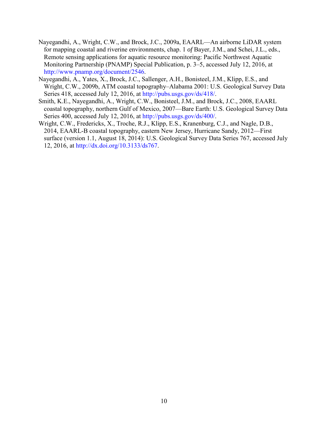- Nayegandhi, A., Wright, C.W., and Brock, J.C., 2009a, EAARL—An airborne LiDAR system for mapping coastal and riverine environments, chap. 1 *of* Bayer, J.M., and Schei, J.L., eds., Remote sensing applications for aquatic resource monitoring: Pacific Northwest Aquatic Monitoring Partnership (PNAMP) Special Publication, p. 3‒5, accessed July 12, 2016, at [http://www.pnamp.org/document/2546.](http://www.pnamp.org/document/2546)
- Nayegandhi, A., Yates, X., Brock, J.C., Sallenger, A.H., Bonisteel, J.M., Klipp, E.S., and Wright, C.W., 2009b, ATM coastal topography–Alabama 2001: U.S. Geological Survey Data Series 418, accessed July 12, 2016, at [http://pubs.usgs.gov/ds/418/](http://pubs.usgs.gov/ds/418).
- Smith, K.E., Nayegandhi, A., Wright, C.W., Bonisteel, J.M., and Brock, J.C., 2008, EAARL coastal topography, northern Gulf of Mexico, 2007—Bare Earth: U.S. Geological Survey Data Series 400, accessed July 12, 2016, at [http://pubs.usgs.gov/ds/400/.](http://pubs.usgs.gov/ds/400/)
- Wright, C.W., Fredericks, X., Troche, R.J., Klipp, E.S., Kranenburg, C.J., and Nagle, D.B., 2014, EAARL-B coastal topography, eastern New Jersey, Hurricane Sandy, 2012—First surface (version 1.1, August 18, 2014): U.S. Geological Survey Data Series 767, accessed July 12, 2016, at [http://dx.doi.org/10.3133/ds767.](http://dx.doi.org/10.3133/ds767)